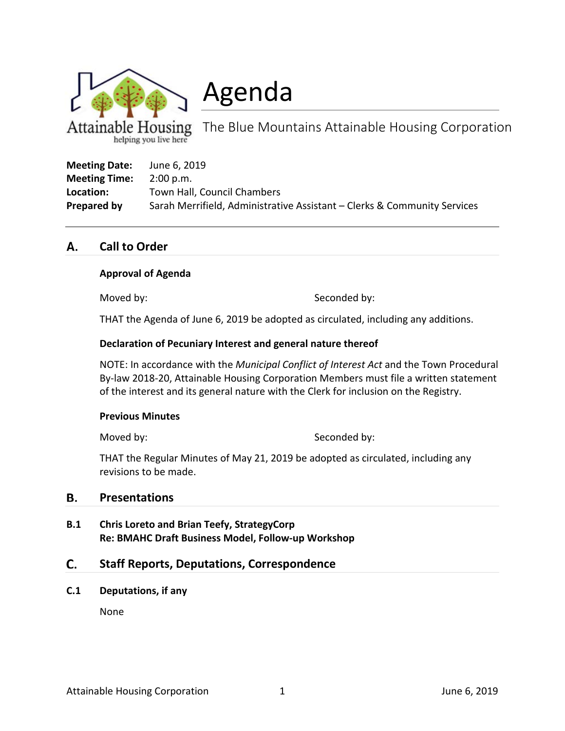

Agenda

Housing The Blue Mountains Attainable Housing Corporation helping you live here

| <b>Meeting Date:</b> | June 6, 2019                                                             |
|----------------------|--------------------------------------------------------------------------|
| <b>Meeting Time:</b> | 2:00 p.m.                                                                |
| Location:            | Town Hall, Council Chambers                                              |
| Prepared by          | Sarah Merrifield, Administrative Assistant – Clerks & Community Services |

#### **Call to Order** Α.

## **Approval of Agenda**

Moved by: Seconded by:

THAT the Agenda of June 6, 2019 be adopted as circulated, including any additions.

## **Declaration of Pecuniary Interest and general nature thereof**

NOTE: In accordance with the *Municipal Conflict of Interest Act* and the Town Procedural By-law 2018-20, Attainable Housing Corporation Members must file a written statement of the interest and its general nature with the Clerk for inclusion on the Registry.

### **Previous Minutes**

Moved by: Seconded by:

THAT the Regular Minutes of May 21, 2019 be adopted as circulated, including any revisions to be made.

#### В. **Presentations**

**B.1 Chris Loreto and Brian Teefy, StrategyCorp Re: BMAHC Draft Business Model, Follow-up Workshop**

#### C. **Staff Reports, Deputations, Correspondence**

**C.1 Deputations, if any**

None